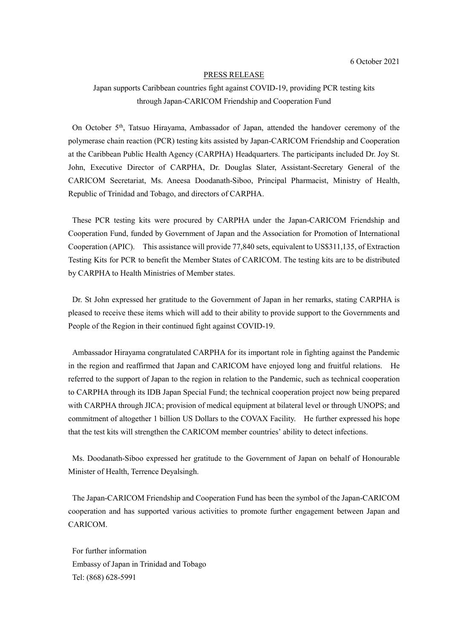## PRESS RELEASE

## Japan supports Caribbean countries fight against COVID-19, providing PCR testing kits through Japan-CARICOM Friendship and Cooperation Fund

On October 5<sup>th</sup>, Tatsuo Hirayama, Ambassador of Japan, attended the handover ceremony of the polymerase chain reaction (PCR) testing kits assisted by Japan-CARICOM Friendship and Cooperation at the Caribbean Public Health Agency (CARPHA) Headquarters. The participants included Dr. Joy St. John, Executive Director of CARPHA, Dr. Douglas Slater, Assistant-Secretary General of the CARICOM Secretariat, Ms. Aneesa Doodanath-Siboo, Principal Pharmacist, Ministry of Health, Republic of Trinidad and Tobago, and directors of CARPHA.

These PCR testing kits were procured by CARPHA under the Japan-CARICOM Friendship and Cooperation Fund, funded by Government of Japan and the Association for Promotion of International Cooperation (APIC). This assistance will provide 77,840 sets, equivalent to US\$311,135, of Extraction Testing Kits for PCR to benefit the Member States of CARICOM. The testing kits are to be distributed by CARPHA to Health Ministries of Member states.

Dr. St John expressed her gratitude to the Government of Japan in her remarks, stating CARPHA is pleased to receive these items which will add to their ability to provide support to the Governments and People of the Region in their continued fight against COVID-19.

Ambassador Hirayama congratulated CARPHA for its important role in fighting against the Pandemic in the region and reaffirmed that Japan and CARICOM have enjoyed long and fruitful relations. He referred to the support of Japan to the region in relation to the Pandemic, such as technical cooperation to CARPHA through its IDB Japan Special Fund; the technical cooperation project now being prepared with CARPHA through JICA; provision of medical equipment at bilateral level or through UNOPS; and commitment of altogether 1 billion US Dollars to the COVAX Facility. He further expressed his hope that the test kits will strengthen the CARICOM member countries' ability to detect infections.

Ms. Doodanath-Siboo expressed her gratitude to the Government of Japan on behalf of Honourable Minister of Health, Terrence Deyalsingh.

The Japan-CARICOM Friendship and Cooperation Fund has been the symbol of the Japan-CARICOM cooperation and has supported various activities to promote further engagement between Japan and CARICOM.

For further information Embassy of Japan in Trinidad and Tobago Tel: (868) 628-5991